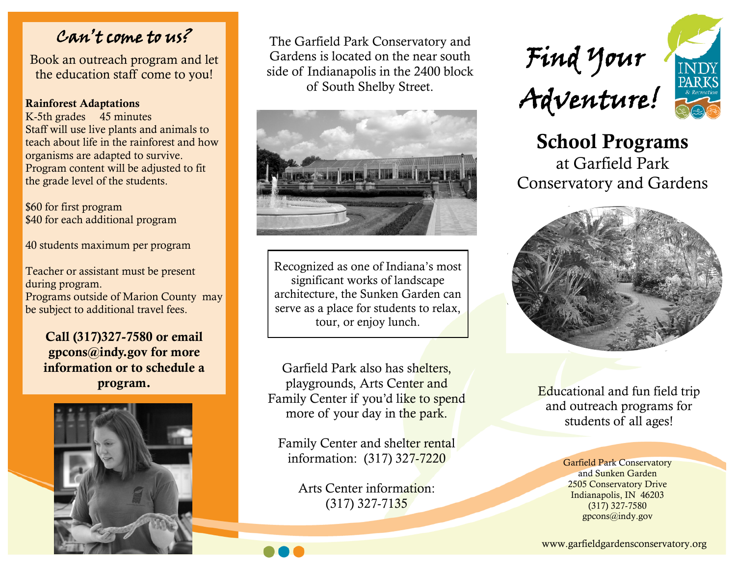# Can't come to us?

Book an outreach program and let the education staff come to you!

# **Rainforest Adaptations**

K-5th grades 45 minutes Staff will use live plants and animals to teach about life in the rainforest and how organisms are adapted to survive. Program content will be adjusted to fit the grade level of the students.

\$60 for first program \$40 for each additional program

40 students maximum per program

Teacher or assistant must be present during program. Programs outside of Marion County may

be subject to additional travel fees.

**Call (317)327-7580 or email gpcons@indy.gov for more information or to schedule a program.** 



The Garfield Park Conservatory and Gardens is located on the near south side of Indianapolis in the 2400 block of South Shelby Street.



Recognized as one of Indiana's most significant works of landscape architecture, the Sunken Garden can serve as a place for students to relax, tour, or enjoy lunch.

Garfield Park also has shelters, playgrounds, Arts Center and Family Center if you'd like to spend more of your day in the park.

Family Center and shelter rental information: (317) 327-7220

> Arts Center information: (317) 327-7135

Find Your Adventure!



**School Programs** at Garfield Park Conservatory and Gardens



Educational and fun field trip and outreach programs for students of all ages!

> Garfield Park Conservatory and Sunken Garden 2505 Conservatory Drive Indianapolis, IN 46203 (317) 327-7580 gpcons@indy.gov

www.garfieldgardensconservatory.org